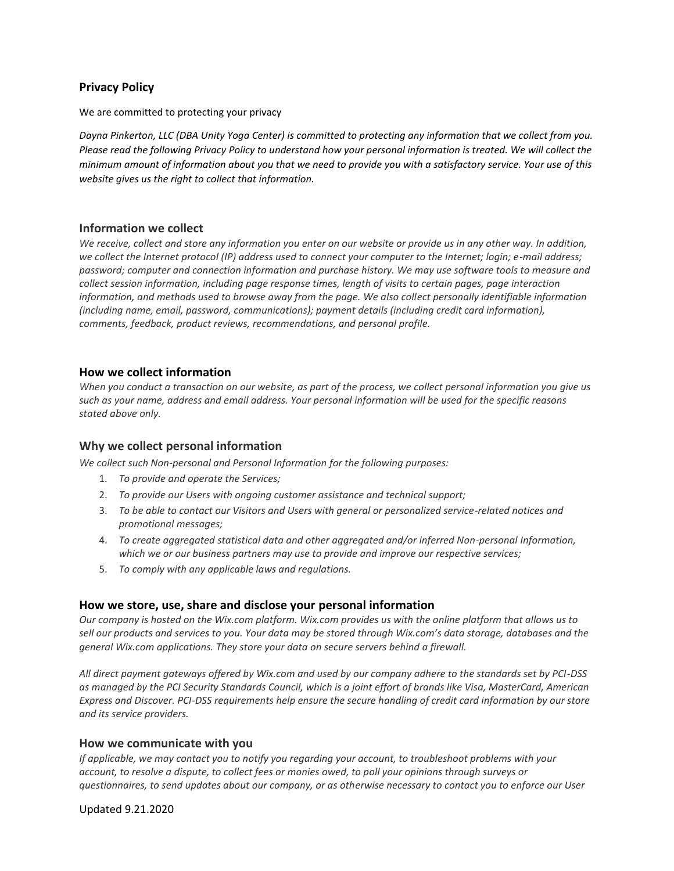# **Privacy Policy**

We are committed to protecting your privacy

*Dayna Pinkerton, LLC (DBA Unity Yoga Center) is committed to protecting any information that we collect from you. Please read the following Privacy Policy to understand how your personal information is treated. We will collect the minimum amount of information about you that we need to provide you with a satisfactory service. Your use of this website gives us the right to collect that information.* 

### **Information we collect**

We receive, collect and store any information you enter on our website or provide us in any other way. In addition, *we collect the Internet protocol (IP) address used to connect your computer to the Internet; login; e-mail address; password; computer and connection information and purchase history. We may use software tools to measure and collect session information, including page response times, length of visits to certain pages, page interaction information, and methods used to browse away from the page. We also collect personally identifiable information (including name, email, password, communications); payment details (including credit card information), comments, feedback, product reviews, recommendations, and personal profile.*

## **How we collect information**

*When you conduct a transaction on our website, as part of the process, we collect personal information you give us such as your name, address and email address. Your personal information will be used for the specific reasons stated above only.*

## **Why we collect personal information**

*We collect such Non-personal and Personal Information for the following purposes:*

- 1. *To provide and operate the Services;*
- 2. *To provide our Users with ongoing customer assistance and technical support;*
- 3. *To be able to contact our Visitors and Users with general or personalized service-related notices and promotional messages;*
- 4. *To create aggregated statistical data and other aggregated and/or inferred Non-personal Information, which we or our business partners may use to provide and improve our respective services;*
- 5. *To comply with any applicable laws and regulations.*

## **How we store, use, share and disclose your personal information**

*Our company is hosted on the Wix.com platform. Wix.com provides us with the online platform that allows us to sell our products and services to you. Your data may be stored through Wix.com's data storage, databases and the general Wix.com applications. They store your data on secure servers behind a firewall.*

*All direct payment gateways offered by Wix.com and used by our company adhere to the standards set by PCI-DSS as managed by the PCI Security Standards Council, which is a joint effort of brands like Visa, MasterCard, American Express and Discover. PCI-DSS requirements help ensure the secure handling of credit card information by our store and its service providers.*

#### **How we communicate with you**

*If applicable, we may contact you to notify you regarding your account, to troubleshoot problems with your account, to resolve a dispute, to collect fees or monies owed, to poll your opinions through surveys or questionnaires, to send updates about our company, or as otherwise necessary to contact you to enforce our User* 

Updated 9.21.2020